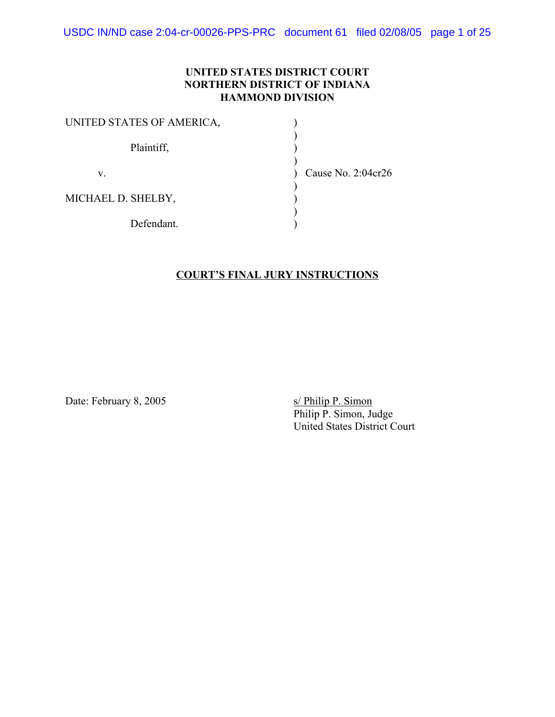USDC IN/ND case 2:04-cr-00026-PPS-PRC document 61 filed 02/08/05 page 1 of 25

#### **UNITED STATES DISTRICT COURT NORTHERN DISTRICT OF INDIANA HAMMOND DIVISION**

| UNITED STATES OF AMERICA, |  |
|---------------------------|--|
| Plaintiff,                |  |
| V.                        |  |
| MICHAEL D. SHELBY,        |  |
| Defendant.                |  |

Cause No.  $2:04$ cr $26$ 

#### **COURT'S FINAL JURY INSTRUCTIONS**

Date: February 8, 2005 s/ Philip P. Simon

Philip P. Simon, Judge United States District Court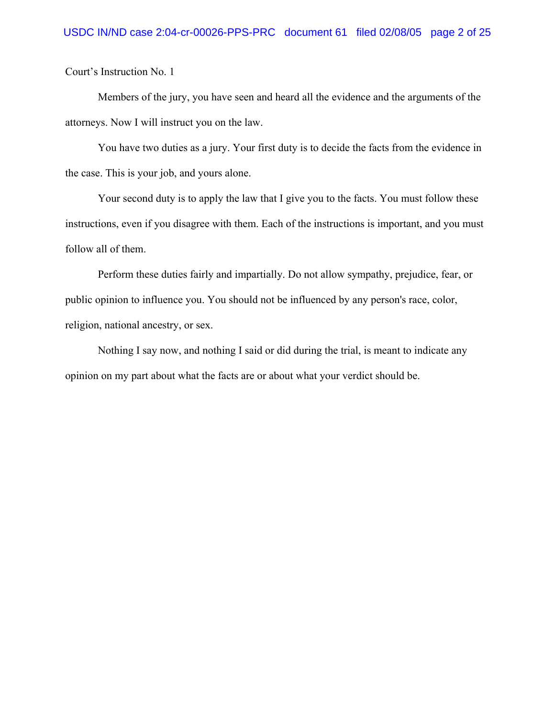Members of the jury, you have seen and heard all the evidence and the arguments of the attorneys. Now I will instruct you on the law.

You have two duties as a jury. Your first duty is to decide the facts from the evidence in the case. This is your job, and yours alone.

Your second duty is to apply the law that I give you to the facts. You must follow these instructions, even if you disagree with them. Each of the instructions is important, and you must follow all of them.

Perform these duties fairly and impartially. Do not allow sympathy, prejudice, fear, or public opinion to influence you. You should not be influenced by any person's race, color, religion, national ancestry, or sex.

Nothing I say now, and nothing I said or did during the trial, is meant to indicate any opinion on my part about what the facts are or about what your verdict should be.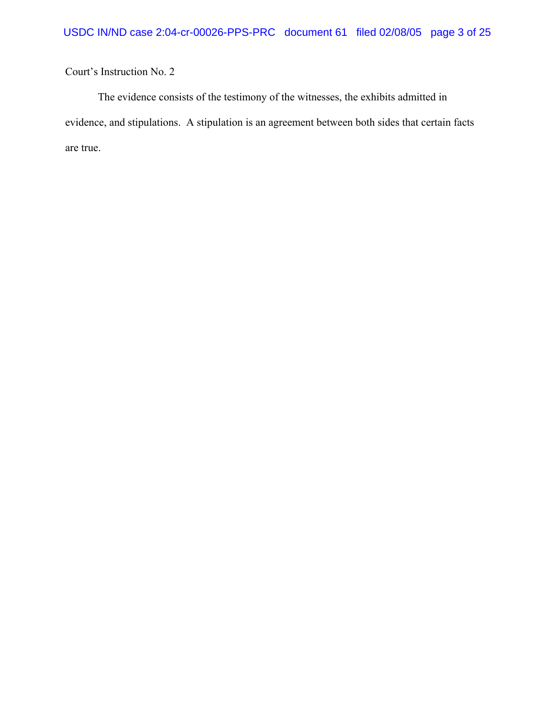The evidence consists of the testimony of the witnesses, the exhibits admitted in evidence, and stipulations. A stipulation is an agreement between both sides that certain facts are true.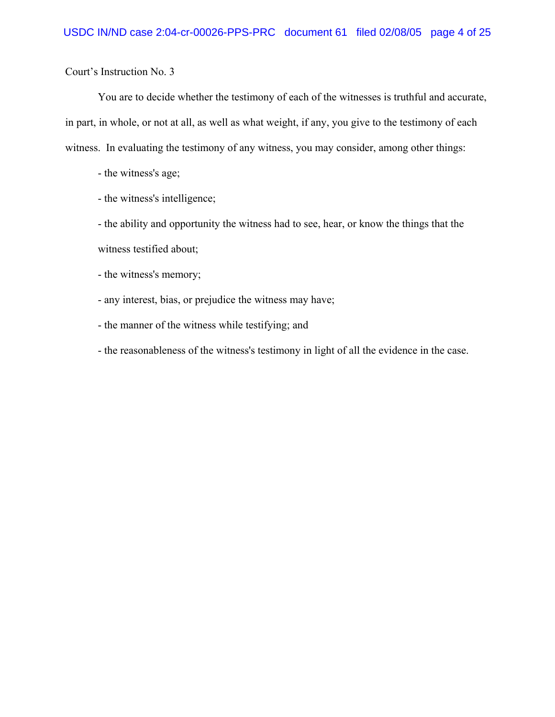You are to decide whether the testimony of each of the witnesses is truthful and accurate, in part, in whole, or not at all, as well as what weight, if any, you give to the testimony of each witness. In evaluating the testimony of any witness, you may consider, among other things:

- the witness's age;
- the witness's intelligence;

- the ability and opportunity the witness had to see, hear, or know the things that the witness testified about;

- the witness's memory;
- any interest, bias, or prejudice the witness may have;
- the manner of the witness while testifying; and
- the reasonableness of the witness's testimony in light of all the evidence in the case.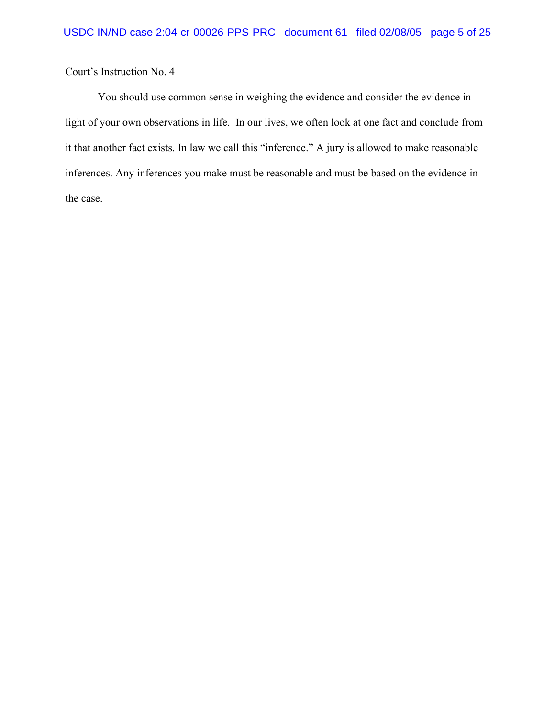You should use common sense in weighing the evidence and consider the evidence in light of your own observations in life. In our lives, we often look at one fact and conclude from it that another fact exists. In law we call this "inference." A jury is allowed to make reasonable inferences. Any inferences you make must be reasonable and must be based on the evidence in the case.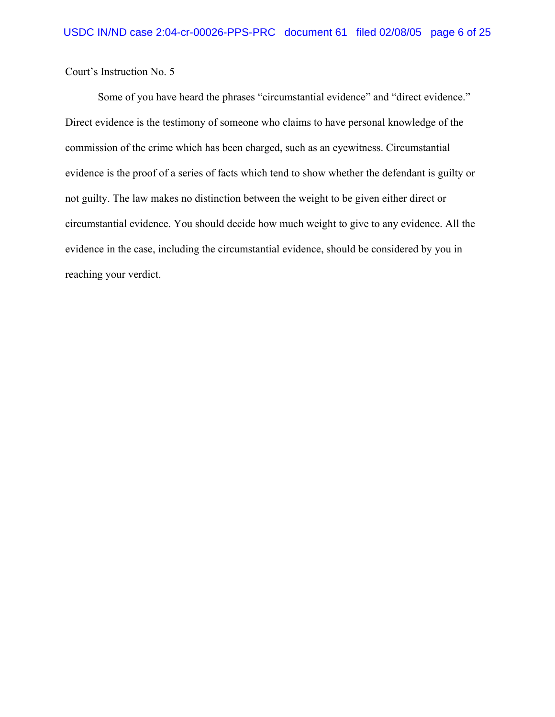Some of you have heard the phrases "circumstantial evidence" and "direct evidence." Direct evidence is the testimony of someone who claims to have personal knowledge of the commission of the crime which has been charged, such as an eyewitness. Circumstantial evidence is the proof of a series of facts which tend to show whether the defendant is guilty or not guilty. The law makes no distinction between the weight to be given either direct or circumstantial evidence. You should decide how much weight to give to any evidence. All the evidence in the case, including the circumstantial evidence, should be considered by you in reaching your verdict.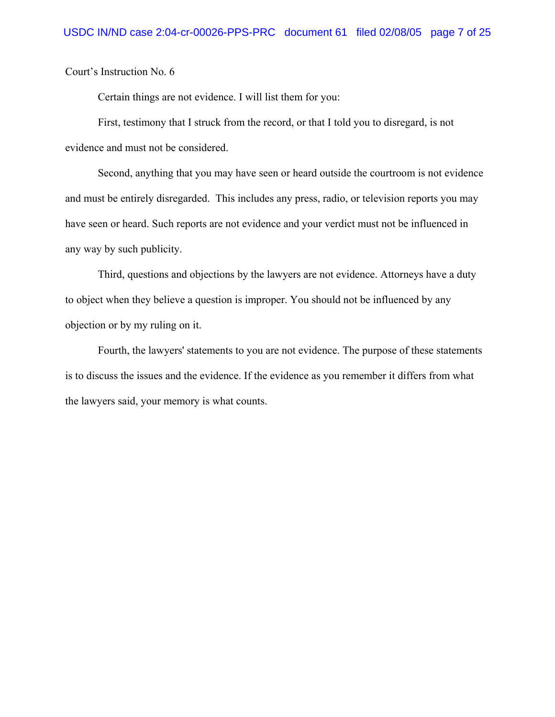Certain things are not evidence. I will list them for you:

First, testimony that I struck from the record, or that I told you to disregard, is not evidence and must not be considered.

Second, anything that you may have seen or heard outside the courtroom is not evidence and must be entirely disregarded. This includes any press, radio, or television reports you may have seen or heard. Such reports are not evidence and your verdict must not be influenced in any way by such publicity.

Third, questions and objections by the lawyers are not evidence. Attorneys have a duty to object when they believe a question is improper. You should not be influenced by any objection or by my ruling on it.

Fourth, the lawyers' statements to you are not evidence. The purpose of these statements is to discuss the issues and the evidence. If the evidence as you remember it differs from what the lawyers said, your memory is what counts.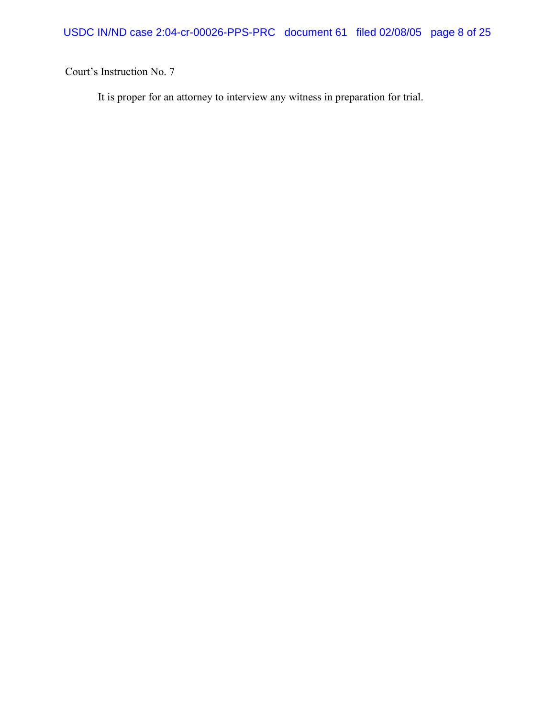It is proper for an attorney to interview any witness in preparation for trial.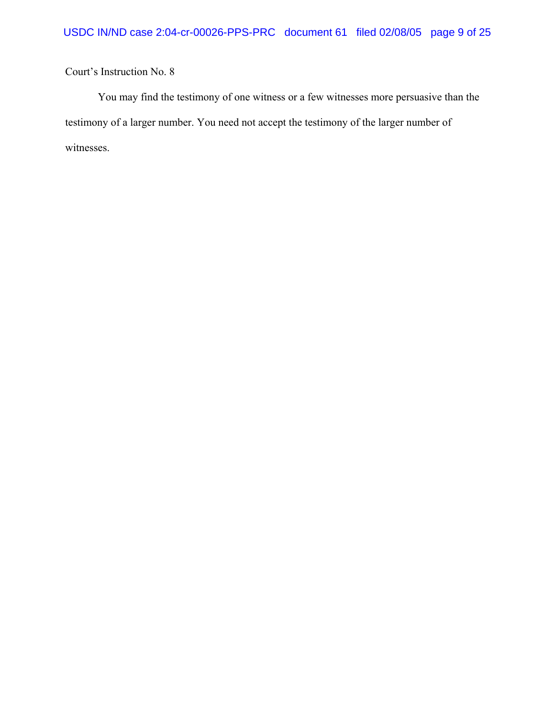You may find the testimony of one witness or a few witnesses more persuasive than the testimony of a larger number. You need not accept the testimony of the larger number of witnesses.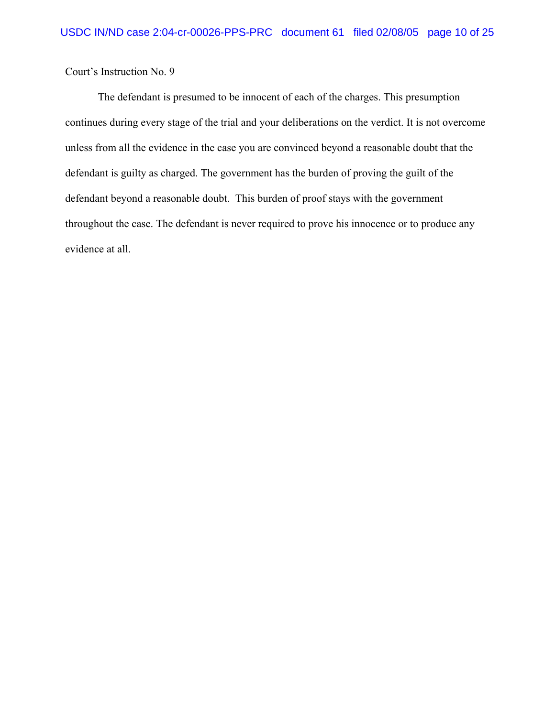The defendant is presumed to be innocent of each of the charges. This presumption continues during every stage of the trial and your deliberations on the verdict. It is not overcome unless from all the evidence in the case you are convinced beyond a reasonable doubt that the defendant is guilty as charged. The government has the burden of proving the guilt of the defendant beyond a reasonable doubt. This burden of proof stays with the government throughout the case. The defendant is never required to prove his innocence or to produce any evidence at all.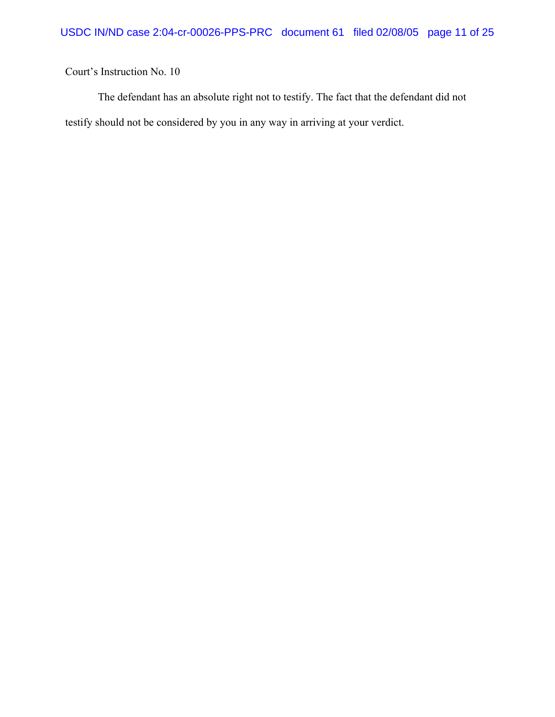The defendant has an absolute right not to testify. The fact that the defendant did not testify should not be considered by you in any way in arriving at your verdict.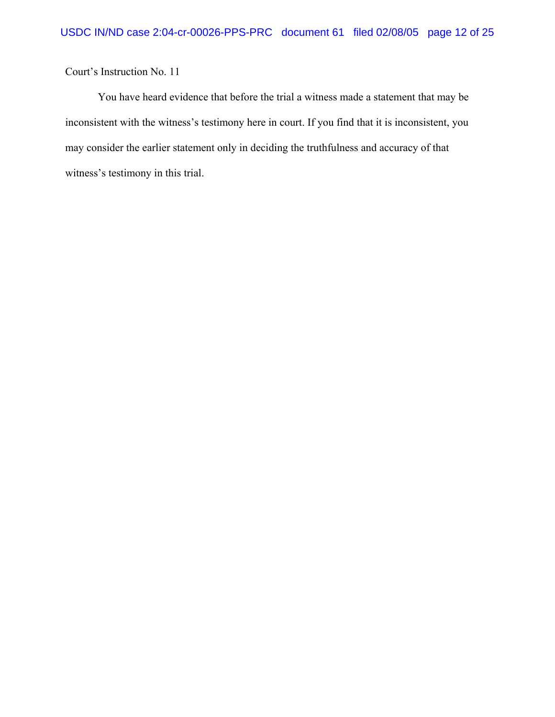You have heard evidence that before the trial a witness made a statement that may be inconsistent with the witness's testimony here in court. If you find that it is inconsistent, you may consider the earlier statement only in deciding the truthfulness and accuracy of that witness's testimony in this trial.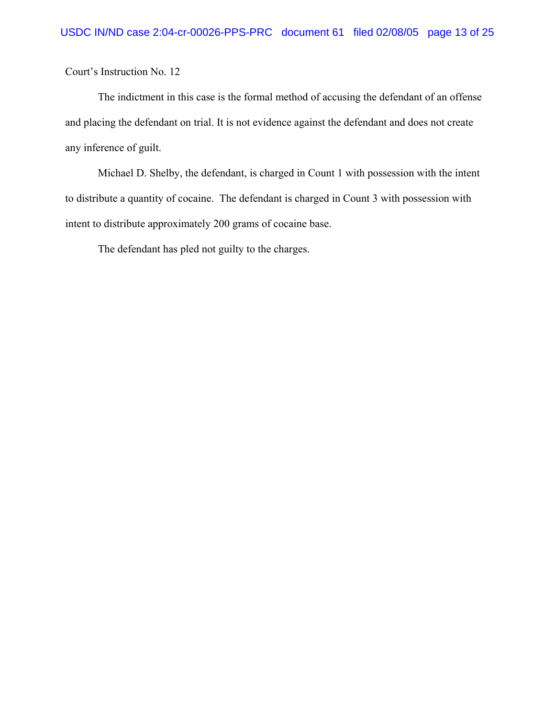The indictment in this case is the formal method of accusing the defendant of an offense and placing the defendant on trial. It is not evidence against the defendant and does not create any inference of guilt.

Michael D. Shelby, the defendant, is charged in Count 1 with possession with the intent to distribute a quantity of cocaine. The defendant is charged in Count 3 with possession with intent to distribute approximately 200 grams of cocaine base.

The defendant has pled not guilty to the charges.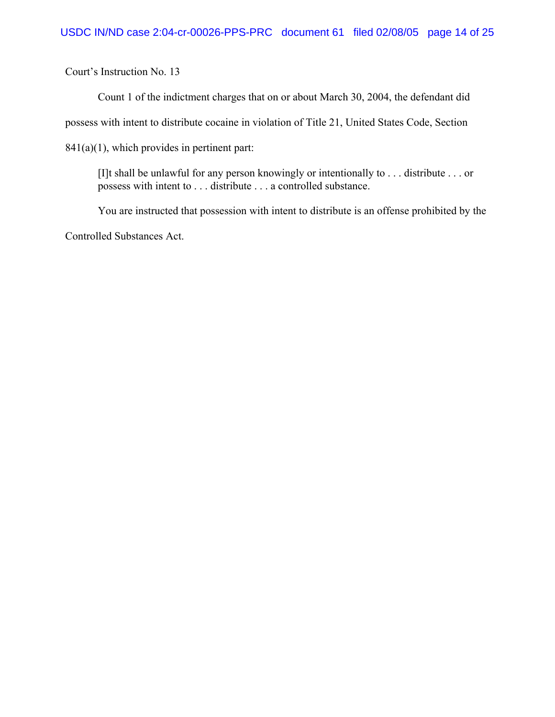Count 1 of the indictment charges that on or about March 30, 2004, the defendant did

possess with intent to distribute cocaine in violation of Title 21, United States Code, Section

841(a)(1), which provides in pertinent part:

[I]t shall be unlawful for any person knowingly or intentionally to . . . distribute . . . or possess with intent to . . . distribute . . . a controlled substance.

You are instructed that possession with intent to distribute is an offense prohibited by the Controlled Substances Act.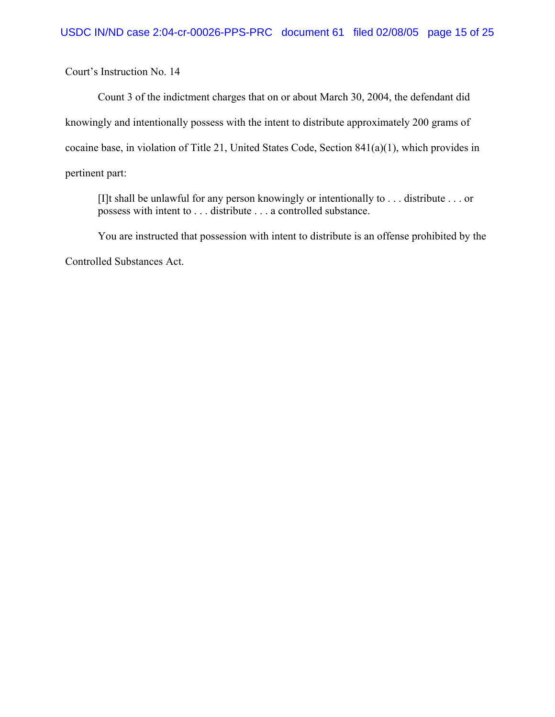Count 3 of the indictment charges that on or about March 30, 2004, the defendant did knowingly and intentionally possess with the intent to distribute approximately 200 grams of cocaine base, in violation of Title 21, United States Code, Section 841(a)(1), which provides in pertinent part:

[I]t shall be unlawful for any person knowingly or intentionally to . . . distribute . . . or possess with intent to . . . distribute . . . a controlled substance.

You are instructed that possession with intent to distribute is an offense prohibited by the

Controlled Substances Act.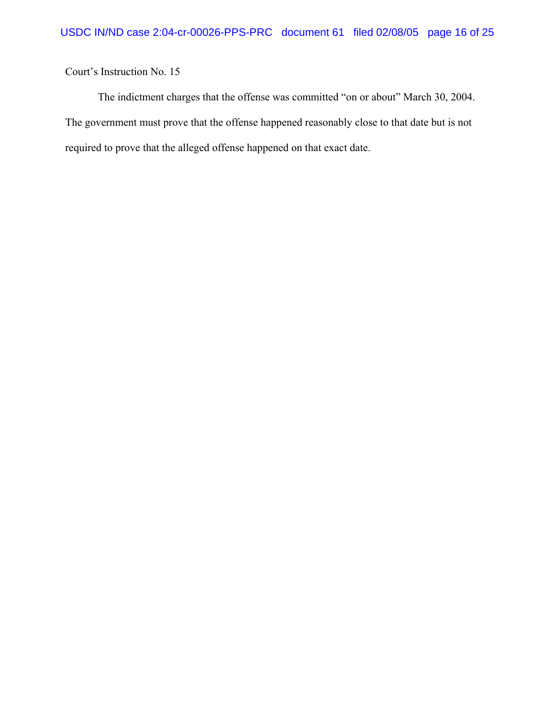The indictment charges that the offense was committed "on or about" March 30, 2004. The government must prove that the offense happened reasonably close to that date but is not required to prove that the alleged offense happened on that exact date.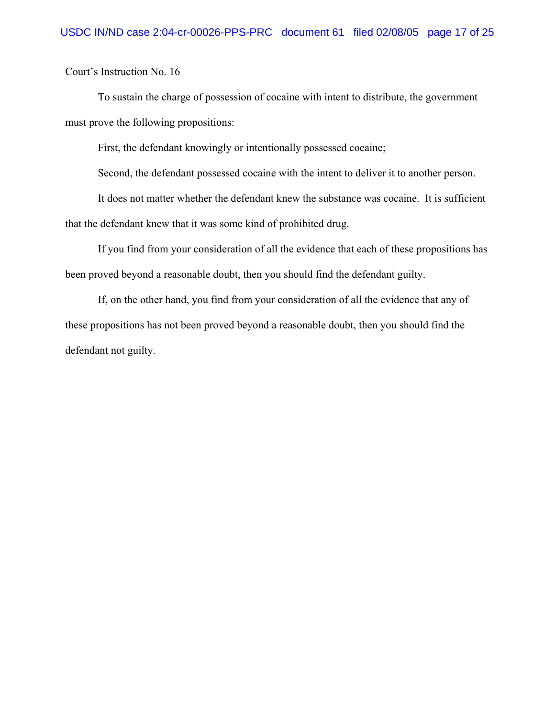To sustain the charge of possession of cocaine with intent to distribute, the government must prove the following propositions:

First, the defendant knowingly or intentionally possessed cocaine;

Second, the defendant possessed cocaine with the intent to deliver it to another person.

It does not matter whether the defendant knew the substance was cocaine. It is sufficient that the defendant knew that it was some kind of prohibited drug.

If you find from your consideration of all the evidence that each of these propositions has been proved beyond a reasonable doubt, then you should find the defendant guilty.

If, on the other hand, you find from your consideration of all the evidence that any of these propositions has not been proved beyond a reasonable doubt, then you should find the defendant not guilty.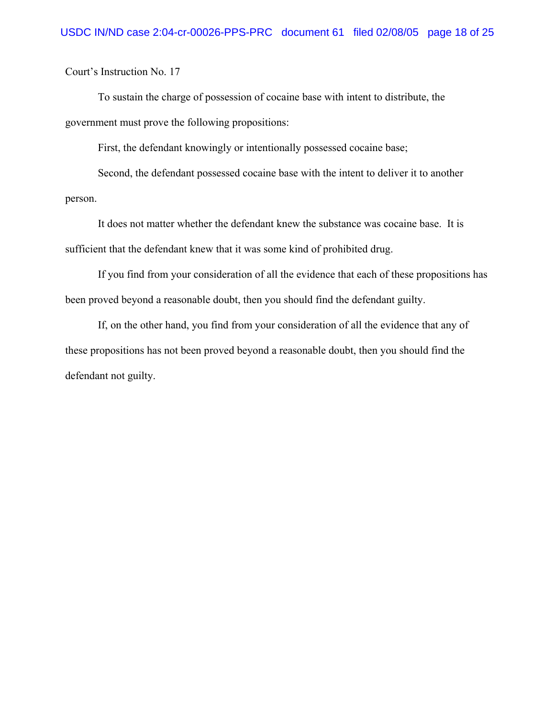To sustain the charge of possession of cocaine base with intent to distribute, the government must prove the following propositions:

First, the defendant knowingly or intentionally possessed cocaine base;

Second, the defendant possessed cocaine base with the intent to deliver it to another person.

It does not matter whether the defendant knew the substance was cocaine base. It is sufficient that the defendant knew that it was some kind of prohibited drug.

If you find from your consideration of all the evidence that each of these propositions has been proved beyond a reasonable doubt, then you should find the defendant guilty.

If, on the other hand, you find from your consideration of all the evidence that any of these propositions has not been proved beyond a reasonable doubt, then you should find the defendant not guilty.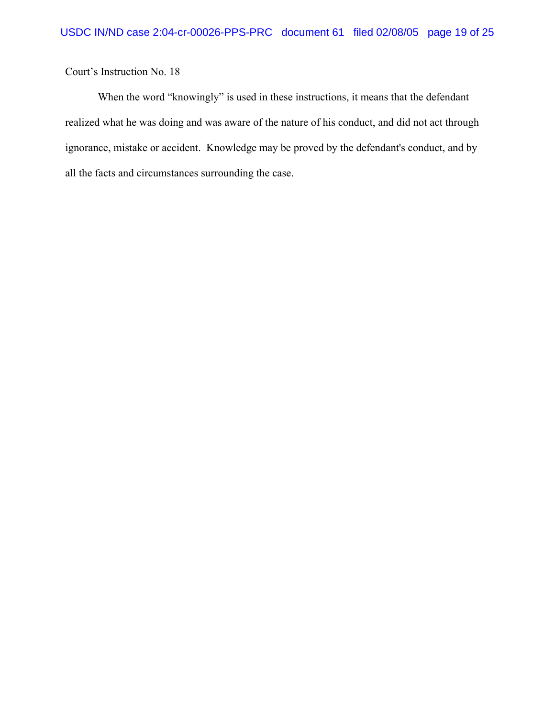When the word "knowingly" is used in these instructions, it means that the defendant realized what he was doing and was aware of the nature of his conduct, and did not act through ignorance, mistake or accident. Knowledge may be proved by the defendant's conduct, and by all the facts and circumstances surrounding the case.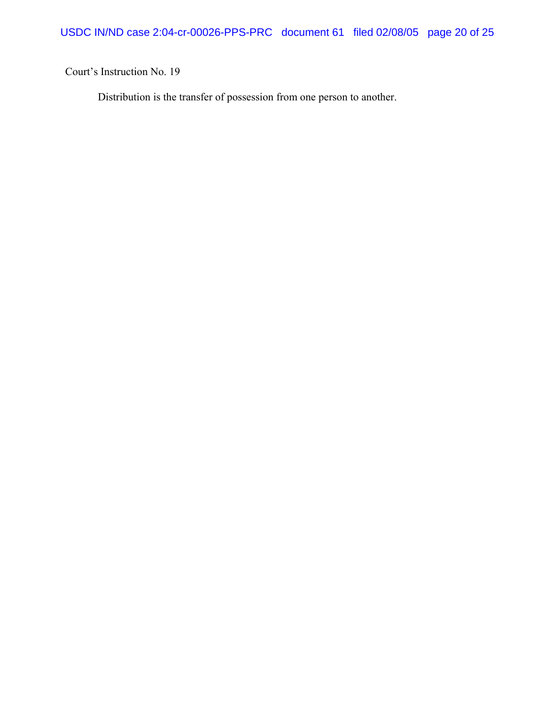Distribution is the transfer of possession from one person to another.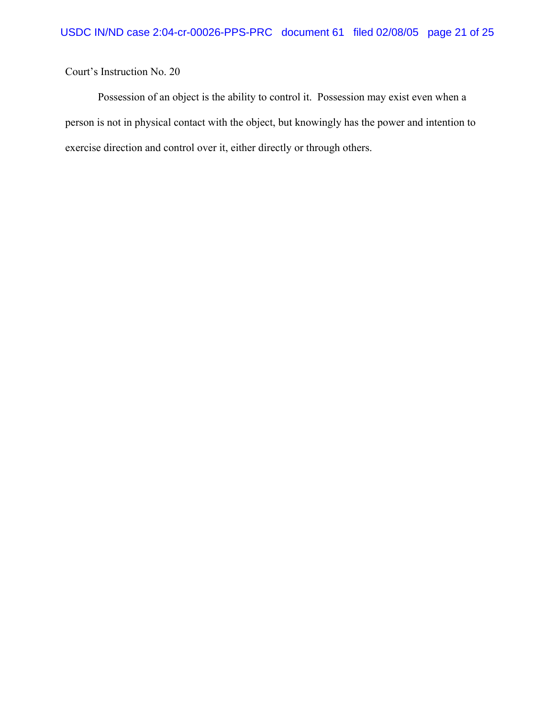Possession of an object is the ability to control it. Possession may exist even when a person is not in physical contact with the object, but knowingly has the power and intention to exercise direction and control over it, either directly or through others.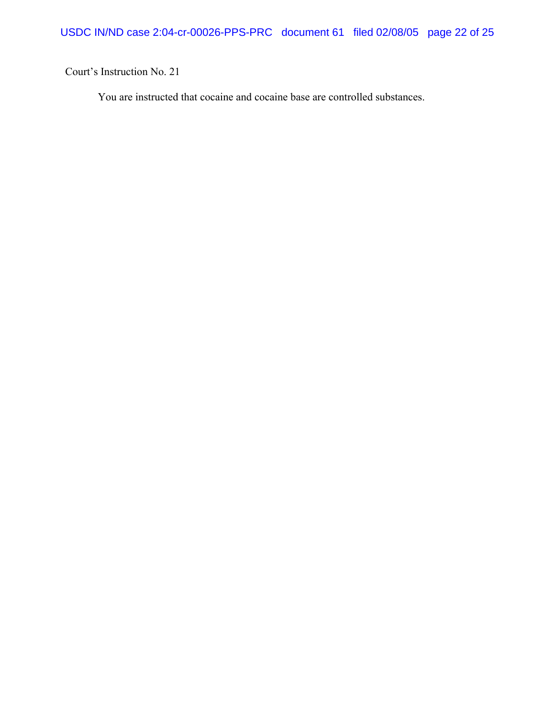You are instructed that cocaine and cocaine base are controlled substances.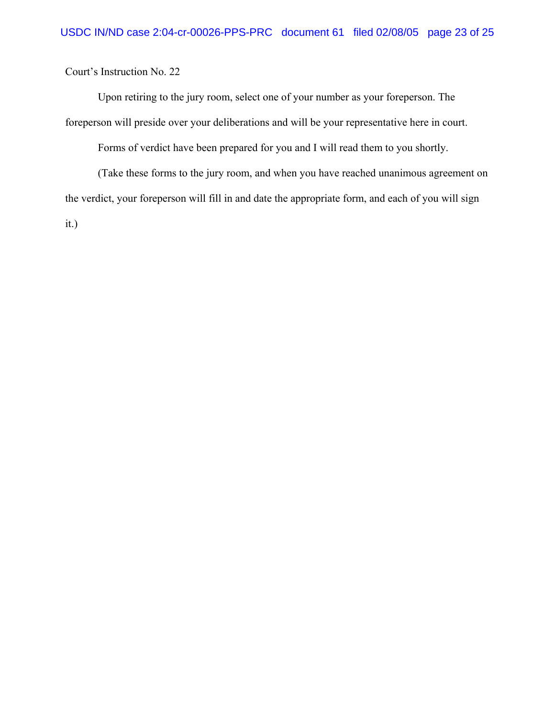Upon retiring to the jury room, select one of your number as your foreperson. The foreperson will preside over your deliberations and will be your representative here in court.

Forms of verdict have been prepared for you and I will read them to you shortly.

(Take these forms to the jury room, and when you have reached unanimous agreement on the verdict, your foreperson will fill in and date the appropriate form, and each of you will sign it.)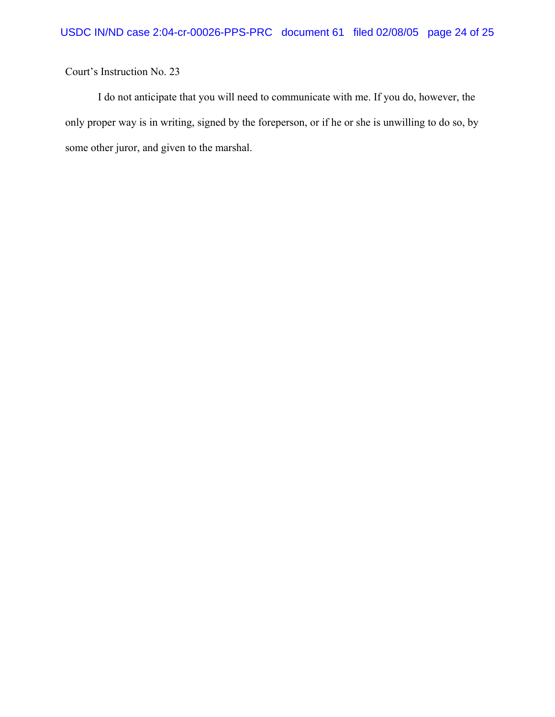I do not anticipate that you will need to communicate with me. If you do, however, the only proper way is in writing, signed by the foreperson, or if he or she is unwilling to do so, by some other juror, and given to the marshal.